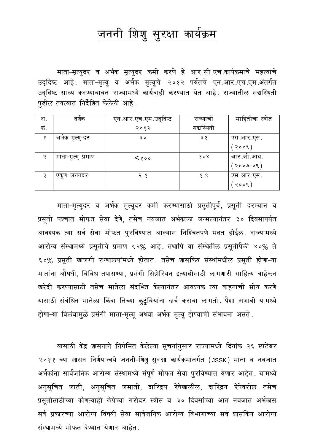#### शिशु सुरक्षा कार्यक्रम जननी

माता-मृत्यूदर व अर्भक मृत्यूदर कमी करणे हे आर.सी.एच.कार्यक्रमाचे महत्वाचे उद्दिष्ट आहे. माता-मृत्यू व अर्भक मृत्यूचे २०१२ पर्यतचे एन.आर.एच.एम.अंतर्गत उददिष्ट साध्य करण्याबाबत राज्यामध्ये कार्यवाही करण्यात येत आहे. राज्यातील सद्यस्थिती पूढील तक्त्यात निर्देशित केलेली आहे.

| अ .   | दशक                | एन.आर.एच.एम.उद्दिष्ट | राज्याचा   | माहितीचा स्त्रोत |
|-------|--------------------|----------------------|------------|------------------|
| क्रं. |                    | २०१२                 | सद्यस्थिती |                  |
| q     | अभेक मृत्यू-दर     | ३०                   | ३ १        | एस.आर.एस.        |
|       |                    |                      |            | २००९)            |
| २     | माता-मृत्यू प्रमाण | $\langle$ 800        | १०४        | आर.जी.आय.        |
|       |                    |                      |            | २००७-०९ $)$      |
| ३     | एकूण जननदर         | २.१                  | १.९        | एस.आर.एस.        |
|       |                    |                      |            | २००९             |

माता-मृत्यूदर व अर्भक मृत्यूदर कमी करण्यासाठी प्रसूतीपूर्व, प्रसूती दरम्यान व प्रसूती पश्चात मोफत सेवा देणे, तसेच नवजात अर्भकाला जन्मल्यानंतर ३० दिवसापर्यत आवश्यक त्या सर्व सेवा मोफत पुरविण्यात आल्यास निश्चितपणे मदत होईल. राज्यामध्ये आरोग्य संस्थामध्ये प्रसूतीचे प्रमाण ९२% आहे. तथापि या संस्थेतील प्रसूतीपैकी ४०% ते ६०% प्रसूती खाजगी रुग्णालयांमध्ये होतात. तसेच शासकिय संस्थांमधील प्रसूती होणा-या मातांना औषधी, विविध तपासण्या, प्रसंगी सिझेरियन इत्यादीसाठी लागणारी साहित्य बाहेरुन खरेदी करण्यासाठी तसेच मातेला संदर्भित केल्यानंतर आवश्यक त्या वाहनाची सोय करणे यासाठी संबंधित मातेला किंवा तिच्या कुटूंबियांना खर्च करावा लागतो. पैशा अभावी यामध्ये होणा-या विलंबामुळे प्रसंगी माता-मृत्यू अथवा अर्भक मृत्यू होण्याची संभावना असते.

यासाठी केंद्र शासनाने निर्गमित केलेल्या सूचनांनुसार राज्यामध्ये दिनांक २६ स्पटेंबर २०११ च्या शासन निर्णयान्वये जननी-शिशु सुरक्षा कार्यक्रमांतर्गत (JSSK) माता व नवजात अर्भकांना सार्वजनिक आरोग्य संस्थामध्ये संपूर्ण मोफत सेवा पूरविण्यात येणार आहेत. यामध्ये अनुसूचित जाती, अनुसूचित जमाती, दारिद्रय रेषेखालील, दारिद्रय रेषेवरील तसेच प्रसूतीसाठीच्या कोणत्याही खेपेच्या गरोदर स्त्रीस व ३० दिवसांच्या आत नवजात अर्भकास सर्व प्रकारच्या आरोग्य विषयी सेवा सार्वजनिक आरोग्य विभागाच्या सर्व शासकिय आरोग्य संस्थामध्ये मोफत देण्यात येणार आहेत.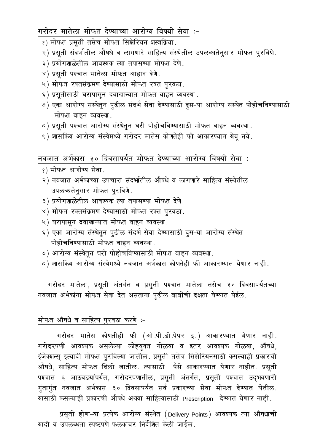गरोदर मातेला मोफत देण्याच्या आरोग्य विषयी सेवा :-

- १) मोफत प्रसूती तसेच मोफत सिझेरियन शस्त्रक्रिया.
- २) प्रसूती संदर्भातील औषधे व लागणारे साहित्य संस्थेतील उपलब्धतेनुसार मोफत पुरविणे.
- ३) प्रयोगशाळेतील आवश्यक त्या तपासण्या मोफत देणे.
- ४) प्रसूती पश्चात मातेला मोफत आहार देणे.
- ५) मोफत रक्तसंक्रमण देण्यासाठी मोफत रक्त पूरवठा.
- ६) प्रसूतीसाठी घरापासून दवाखान्यात मोफत वाहन व्यवस्था.
- ७) एका आरोग्य संस्थेतून पुढील संदर्भ सेवा देण्यासाठी दुस-या आरोग्य संस्थेत पोहोचविण्यासाठी मोफत वाहन व्यवस्था.
- ८) प्रसूती पश्चात आरोग्य संस्थेतून घरी पोहोचविण्यासाठी मोफत वाहन व्यवस्था.
- ९) शासकिय आरोग्य संस्थेमध्ये गरोदर मातेस कोणतेही फी आकारण्यात येवृ नये.

नवजात अर्भकास ३० दिवसापर्यत मोफत देण्याच्या आरोग्य विषयी सेवा :-

- १) मोफत आरोग्य सेवा.
- २) नवजात अर्भकाच्या उपचारा संदर्भातील औषधे व लागणारे साहित्य संस्थेतील उपलब्धतेनूसार मोफत पूरविणे.
- ३) प्रयोगशाळेतील आवश्यक त्या तपासण्या मोफत देणे.
- ४) मोफत रक्तसंक्रमण देण्यासाठी मोफत रक्त पूरवठा.
- ५) घरापासून दवाखान्यात मोफत वाहन व्यवस्था.
- ६) एका आरोग्य संस्थेतून पुढील संदर्भ सेवा देण्यासाठी दुस-या आरोग्य संस्थेत पोहोचविण्यासाठी मोफत वाहन व्यवस्था.
- ७) आरोग्य संस्थेतृन घरी पोहोचविण्यासाठी मोफत वाहन व्यवस्था.
- ८) शासकिय आरोग्य संस्थेमध्ये नवजात अर्भकास कोणतेही फी आकारण्यात येणार नाही.

गरोदर मातेला, प्रसूती अंतर्गत व प्रसूती पश्चात मातेला तसेच ३० दिवसापर्यतच्या नवजात अर्भकांना मोफत सेवा देत असताना पुढील बाबींची दक्षता घेण्यात येईल.

#### मोफत औषधे व साहित्य पूरवठा करणे :-

गरोदर मातेस कोणतीही फी (ओ.पी.डी.पेपर इ.) आकारण्यात येणार नाही. गरोदरपणी आवश्यक असलेल्या लोहयुक्त गोळया व इतर आवश्यक गोळया, औषधे, इंजेक्शन्स् इत्यादी मोफत पुरविल्या जातील. प्रसूती तसेच सिझेरियनसाठी कसल्याही प्रकारची औषधे, साहित्य मोफत दिली जातील. त्यासाठी पैसे आकारण्यात येणार नाहीत. प्रसूती पश्चात ६ आठवडयांपर्यत, गरोदरपणातील, प्रसूती अंतर्गत, प्रसूती पश्चात उद्भवणारी गुंतागुंत नवजात अर्भकास ३० दिवसापर्यत सर्व प्रकारच्या सेवा मोफत देण्यात येतील. यासाठी कसल्याही प्रकारची औषधे अथवा साहित्यासाठी Prescription देण्यात येणार नाही.

प्रसूती होणा-या प्रत्येक आरोग्य संस्थेत (Delivery Points) आवश्यक त्या औषधाची यादी व उपलब्धता स्पष्टपणे फलकावर निर्देशित केली जाईल.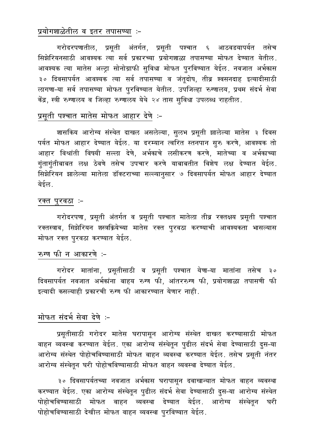### प्रयोगशाळेतील व इतर तपासण्या :-

गरोदरपणातील, प्रसूती अंतर्गत, प्रसूती पश्चात ६ आठवडयापर्यत तसेच सिझेरियनसाठी आवश्यक त्या सर्व प्रकारच्या प्रयोगशाळा तपासण्या मोफत देण्यात येतील. आवश्यक त्या मातेस अल्ट्रा सोनोग्राफी सुविधा मोफत पुरविण्यात येईल. नवजात अर्भकास ३० दिवसापर्यत आवश्यक त्या सर्व तपासण्या व जंतूदोष, तीव्र श्वसनदाह इत्यादीसाठी लागणा-या सर्व तपासण्या मोफत पुरविण्यात येतील. उपजिल्हा रुग्णालय, प्रथम संदर्भ सेवा केंद्र, स्त्री रुग्णालय व जिल्हा रुग्णालय येथे २४ तास सुविधा उपलब्ध राहतील.

# प्रसूती पश्चात मातेस मोफत आहार देणे :-

शासकिय आरोग्य संस्थेत दाखल असलेल्या, सुलभ प्रसूती झालेल्या मातेस ३ दिवस पर्यत मोफत आहार देण्यात येईल. या दरम्यान त्वरित स्तनपान सूरु करणे, आवश्यक तो आहार विश्रांती विषयी सल्ला देणे, अर्भकाचे लसीकरण करणे, मातेच्या व अर्भकाच्या गुंतागुंतीबाबत लक्ष ठेवणे तसेच उपचार करणे याबाबतीत विशेष लक्ष देण्यात येईल. सिझेरियन झालेल्या मातेला डॉक्टराच्या सल्ल्यानुसार ७ दिवसापर्यत मोफत आहार देण्यात येईल.

#### रक्त पुरवठा ∶–

गरोदरपणा, प्रसूती अंतर्गत व प्रसूती पश्चात मातेला तीव्र रक्तक्षय प्रसूती पश्चात रक्तस्त्राव, सिझेरियन शस्त्रक्रियेच्या मातेस रक्त पुरवठा करण्याची आवश्यकता भासल्यास मोफत रक्त पुरवठा करण्यात येईल.

## रुग्ण फी न आकारणे :-

गरोदर मातांना, प्रसूतीसाठी व प्रसूती पश्चात येणा-या मातांना तसेच ३० दिवसापर्यत नवजात अर्भकांना बाहय रुग्ण फी, आंतररुग्ण फी, प्रयोगशाळा तपासणी फी इत्यादी कसल्याही प्रकारची रुग्ण फी आकारण्यात येणार नाही.

# मोफत संदर्भ सेवा देणे :-

प्रसूतीसाठी गरोदर मातेस घरापासून आरोग्य संस्थेत दाखल करण्यासाठी मोफत वाहन व्यवस्था करण्यात येईल. एका आरोग्य संस्थेतून पुढील संदर्भ सेवा देण्यासाठी दुस-या आरोग्य संस्थेत पोहोचविण्यासाठी मोफत वाहन व्यवस्था करण्यात येईल. तसेच प्रसूती नंतर आरोग्य संस्थेतून घरी पोहोचविण्यासाठी मोफत वाहन व्यवस्था देण्यात येईल.

३० दिवसापर्यतच्या नवजात अर्भकास घरापासून दवाखान्यात मोफत वाहन व्यवस्था करण्यात येईल. एका आरोग्य संस्थेतून पुढील संदर्भ सेवा देण्यासाठी दुस–या आरोग्य संस्थेत पोहोचविण्यासाठी मोफत वाहन व्यवस्था देण्यात येईल. आरोग्य संस्थेतून घरी पोहोचविण्यासाठी देखील मोफत वाहन व्यवस्था पुरविण्यात येईल.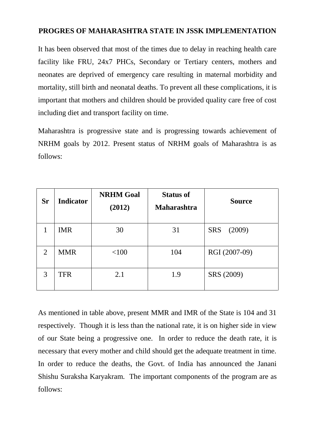## **PROGRES OF MAHARASHTRA STATE IN JSSK IMPLEMENTATION**

It has been observed that most of the times due to delay in reaching health care facility like FRU, 24x7 PHCs, Secondary or Tertiary centers, mothers and neonates are deprived of emergency care resulting in maternal morbidity and mortality, still birth and neonatal deaths. To prevent all these complications, it is important that mothers and children should be provided quality care free of cost including diet and transport facility on time.

Maharashtra is progressive state and is progressing towards achievement of NRHM goals by 2012. Present status of NRHM goals of Maharashtra is as follows:

| <b>Sr</b>      | <b>Indicator</b> | <b>NRHM Goal</b><br>(2012) | <b>Status of</b><br><b>Maharashtra</b> | <b>Source</b>        |
|----------------|------------------|----------------------------|----------------------------------------|----------------------|
|                | <b>IMR</b>       | 30                         | 31                                     | <b>SRS</b><br>(2009) |
| $\overline{2}$ | <b>MMR</b>       | < 100                      | 104                                    | RGI (2007-09)        |
| 3              | TFR              | 2.1                        | 1.9                                    | SRS (2009)           |

As mentioned in table above, present MMR and IMR of the State is 104 and 31 respectively. Though it is less than the national rate, it is on higher side in view of our State being a progressive one. In order to reduce the death rate, it is necessary that every mother and child should get the adequate treatment in time. In order to reduce the deaths, the Govt. of India has announced the Janani Shishu Suraksha Karyakram. The important components of the program are as follows: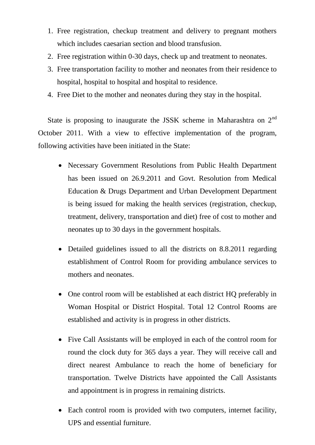- 1. Free registration, checkup treatment and delivery to pregnant mothers which includes caesarian section and blood transfusion.
- 2. Free registration within 0-30 days, check up and treatment to neonates.
- 3. Free transportation facility to mother and neonates from their residence to hospital, hospital to hospital and hospital to residence.
- 4. Free Diet to the mother and neonates during they stay in the hospital.

State is proposing to inaugurate the JSSK scheme in Maharashtra on  $2<sup>nd</sup>$ October 2011. With a view to effective implementation of the program, following activities have been initiated in the State:

- Necessary Government Resolutions from Public Health Department has been issued on 26.9.2011 and Govt. Resolution from Medical Education & Drugs Department and Urban Development Department is being issued for making the health services (registration, checkup, treatment, delivery, transportation and diet) free of cost to mother and neonates up to 30 days in the government hospitals.
- Detailed guidelines issued to all the districts on 8.8.2011 regarding establishment of Control Room for providing ambulance services to mothers and neonates.
- One control room will be established at each district HQ preferably in Woman Hospital or District Hospital. Total 12 Control Rooms are established and activity is in progress in other districts.
- Five Call Assistants will be employed in each of the control room for round the clock duty for 365 days a year. They will receive call and direct nearest Ambulance to reach the home of beneficiary for transportation. Twelve Districts have appointed the Call Assistants and appointment is in progress in remaining districts.
- Each control room is provided with two computers, internet facility, UPS and essential furniture.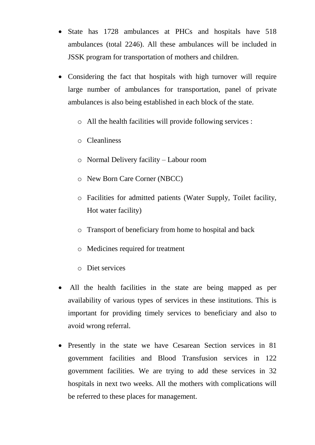- State has 1728 ambulances at PHCs and hospitals have 518 ambulances (total 2246). All these ambulances will be included in JSSK program for transportation of mothers and children.
- Considering the fact that hospitals with high turnover will require large number of ambulances for transportation, panel of private ambulances is also being established in each block of the state.
	- o All the health facilities will provide following services :
	- o Cleanliness
	- o Normal Delivery facility Labour room
	- o New Born Care Corner (NBCC)
	- o Facilities for admitted patients (Water Supply, Toilet facility, Hot water facility)
	- o Transport of beneficiary from home to hospital and back
	- o Medicines required for treatment
	- o Diet services
- All the health facilities in the state are being mapped as per availability of various types of services in these institutions. This is important for providing timely services to beneficiary and also to avoid wrong referral.
- Presently in the state we have Cesarean Section services in 81 government facilities and Blood Transfusion services in 122 government facilities. We are trying to add these services in 32 hospitals in next two weeks. All the mothers with complications will be referred to these places for management.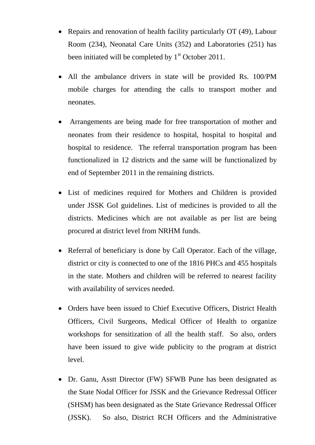- Repairs and renovation of health facility particularly OT (49), Labour Room (234), Neonatal Care Units (352) and Laboratories (251) has been initiated will be completed by  $1<sup>st</sup>$  October 2011.
- All the ambulance drivers in state will be provided Rs. 100/PM mobile charges for attending the calls to transport mother and neonates.
- Arrangements are being made for free transportation of mother and neonates from their residence to hospital, hospital to hospital and hospital to residence. The referral transportation program has been functionalized in 12 districts and the same will be functionalized by end of September 2011 in the remaining districts.
- List of medicines required for Mothers and Children is provided under JSSK GoI guidelines. List of medicines is provided to all the districts. Medicines which are not available as per list are being procured at district level from NRHM funds.
- Referral of beneficiary is done by Call Operator. Each of the village, district or city is connected to one of the 1816 PHCs and 455 hospitals in the state. Mothers and children will be referred to nearest facility with availability of services needed.
- Orders have been issued to Chief Executive Officers, District Health Officers, Civil Surgeons, Medical Officer of Health to organize workshops for sensitization of all the health staff. So also, orders have been issued to give wide publicity to the program at district level.
- Dr. Ganu, Asstt Director (FW) SFWB Pune has been designated as the State Nodal Officer for JSSK and the Grievance Redressal Officer (SHSM) has been designated as the State Grievance Redressal Officer (JSSK). So also, District RCH Officers and the Administrative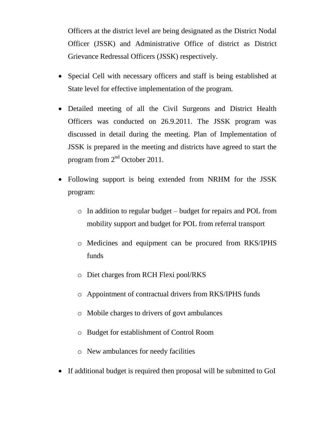Officers at the district level are being designated as the District Nodal Officer (JSSK) and Administrative Office of district as District Grievance Redressal Officers (JSSK) respectively.

- Special Cell with necessary officers and staff is being established at State level for effective implementation of the program.
- Detailed meeting of all the Civil Surgeons and District Health Officers was conducted on 26.9.2011. The JSSK program was discussed in detail during the meeting. Plan of Implementation of JSSK is prepared in the meeting and districts have agreed to start the program from 2nd October 2011.
- Following support is being extended from NRHM for the JSSK program:
	- o In addition to regular budget budget for repairs and POL from mobility support and budget for POL from referral transport
	- o Medicines and equipment can be procured from RKS/IPHS funds
	- o Diet charges from RCH Flexi pool/RKS
	- o Appointment of contractual drivers from RKS/IPHS funds
	- o Mobile charges to drivers of govt ambulances
	- o Budget for establishment of Control Room
	- o New ambulances for needy facilities
- If additional budget is required then proposal will be submitted to GoI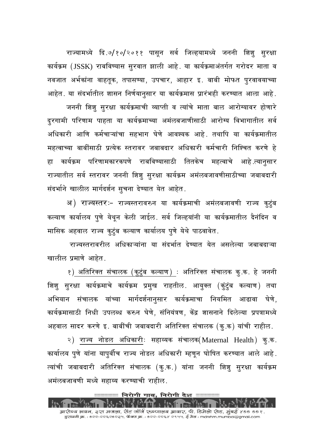राज्यामध्ये दि.७/१०/२०११ पासून सर्व जिल्हयामध्ये जननी शिशू सूरक्षा कार्यक्रम (JSSK) राबविण्यास सुरवात झाली आहे. या कार्यक्रमाअंतर्गत गरोदर माता व नवजात अर्भकांना वाहतुक, तपासण्या, उपचार, आहार इ. बाबी मोफत पुरवावयाच्या आहेत. या संदर्भातील शासन निर्णयानूसार या कार्यक्रमास प्रारंभही करण्यात आला आहे.

जननी शिशु सुरक्षा कार्यक्रमाची व्याप्ती व त्यांचे माता बाल आरोग्यावर होणारे दुरगामी परिणाम पाहता या कार्यक्रमाच्या अमंलबजाणीसाठी आरोग्य विभागातील सर्व अधिकारी आणि कर्मचाऱ्यांचा सहभाग घेणे आवश्यक आहे. तथापि या कार्यक्रमातील महत्वाच्या बाबींसाठी प्रत्येक स्तरावर जबाबदार अधिकारी कर्मचारी निश्चित करणे हे कार्यक्रम परिणामकारकपणे राबविण्यासाठी तितकेच महत्वाचे आहे.त्यानुसार हा राज्यातील सर्व स्तरावर जननी शिशु सुरक्षा कार्यक्रम अमंलबजावणीसाठीच्या जबाबदारी संदर्भाने खालील मार्गदर्शन सूचना देण्यात येत आहेत.

अ) राज्यस्तरः– राज्यस्तरावरुन या कार्यक्रमाची अमंलबजावणी राज्य कुटुंब कल्याण कार्यालय पूणे येथून केली जाईल. सर्व जिल्हयांनी या कार्यक्रमातील दैनंदिन व मासिक अहवाल राज्य कूटूंब कल्याण कार्यालय पूणे येथे पाठवावेत.

राज्यस्तरावरील अधिकाऱ्यांना या संदर्भात देण्यात येत असलेल्या जबाबदाऱ्या खालील प्रमाणे आहेत.

१) अतिरिक्त संचालक (कूटूंब कल्याण) : अतिरिक्त संचालक कू.क. हे जननी शिशू सूरक्षा कार्यक्रमाचे कार्यक्रम प्रमुख राहतील. आयूक्त (कूंटूंब कल्याण) तथा अभियान संचालक यांच्या मार्गदर्शनानूसार कार्यक्रमाचा नियमित आढावा घेणे, कार्यक्रमासाठी निधी उपलब्ध करुन घेणे, संनियंत्रण, केंद्र शासनाने दिलेल्या प्रपत्रामध्ये अहवाल सादर करणे इ. बाबींची जबाबदारी अतिरिक्त संचालक (क.क) यांची राहील.

२) राज्य नोडल अधिकारीः सहाय्यक संचालक(Maternal Health) कु.क. कार्यालय पूणे यांना यापूर्वीच राज्य नोडल अधिकारी म्हणून घोषित करण्यात आले आहे. त्यांची जबाबदारी अतिरिक्त संचालक (कृ.क.) यांना जननी शिशू सूरक्षा कार्यक्रम अमंलबजावणी मध्ये सहाय्य करण्याची राहील.

आरो॰य भवन, ३रा मजला, सेंट जॉर्ज रुन्थालय आवार, पी. डिमेलो रोड, मुंबई ४०० ००१. द्रुएध्वनी क्र. : ०२२-२२६२०२३५, फॅक्स क्र. : ०२२-२२६४ २९५५, ई मेत्र : mdnrhm.mumbai@gmail.com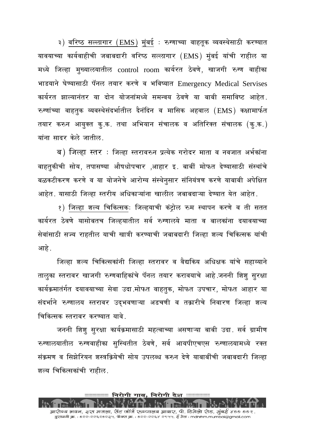३) वरिष्ठ सल्लागार (EMS) मुंबई : रुग्णाच्या वाहतूक व्यवस्थेसाठी करण्यात यावयाच्या कार्यवाहीची जबाबदारी वरिष्ठ सल्लागार (EMS) मूंबई यांची राहील या मध्ये जिल्हा मूख्यालयातील control room कार्यरत ठेवणे, खाजगी रुग्ण वाहीका भाडयाने घेण्यासाठी पॅनल तयार करणे व भविष्यात Emergency Medical Servises कार्यरत झाल्यानंतर या दोन योजनांमध्ये समन्वय ठेवणे या बाबी समाविष्ट आहेत. रुग्णांच्या वाहतुक व्यवस्थेसंदर्भातील दैनंदिन व मासिक अहवाल (EMS) कक्षामार्फत तयार करुन आयुक्त कृ.क. तथा अभियान संचालक व अतिरिक्त संचालक (कृ.क.) यांना सादर केले जातील.

ब) जिल्हा स्तर : जिल्हा स्तरावरुन प्रत्येक गरोदर माता व नवजात अर्भकांना वाहतकीची सोय, तपासण्या औषधोपचार ,आहार इ. बाबीं मोफत देण्यासाठी संस्थांचे बळकटीकरण करणे व या योजनेचे आरोग्य संस्थेनूसार संनियंत्रण करणे याबाबी अपेक्षित आहेत. यासाठी जिल्हा स्तरीय अधिकाऱ्यांना खालील जबाबदाऱ्या देण्यात येत आहेत.

१) जिल्हा शल्य चिकित्सकः जिल्हयाची कंट्रोल रुम स्थापन करणे व ती सतत कार्यरत ठेवणे यासोबतच जिल्हयातील सर्व रुग्णालये माता व बालकांना दयावयाच्या सेवांसाठी सज्य राहतील याची खात्री करण्याची जबाबदारी जिल्हा शल्य चिकित्सक यांची आहे .

जिल्हा शल्य चिकित्सकांनी जिल्हा स्तरावर व वैद्यकिय अधिक्षक यांचे सहाय्याने तालृका स्तरावर खाजगी रुग्णवाहिकांचे पॅनल तयार करावयाचे आहे.जननी शिशु सुरक्षा कार्यक्रमातंर्गत दयावयाच्या सेवा उदा मोफत वाहतूक, मोफत उपचार, मोफत आहार या संदर्भाने रुग्णालय स्तरावर उद्भवणाऱ्या अडचणी व तक्रारीचे निवारण जिल्हा शल्य चिकित्सक स्तरावर करण्यात यावे

जननी शिश् सुरक्षा कार्यक्रमासाठी महत्वाच्या असणाऱ्या बाबी उदा. सर्व ग्रामीण रुग्णालयातील रुग्णवाहीका सुस्थितीत ठेवणे, सर्व आयपीएचएस रुग्णालयामध्ये रक्त संक्रमण व सिझेरियन शस्त्रक्रियेची सोय उपलब्ध करुन देणे याबाबींची जबाबदारी जिल्हा शल्य चिकित्सकांची राहील.

आरो॰य भवन, ३रा मजला, सेंट जॉर्ज रु॰णालय आवार, पी. डिमेलो रोड, मुंबई ४०० ००१. द्बुएध्वनी क्र. : ०२२-२२६२०२३५, फॅक्स क्र. : ०२२-२२६४ २९५५, ई मेत्र : mdnrhm.mumbai@gmail.com

ःःःःःःः निरोगी गाव, निरोगी देश ःःःःःःःःःः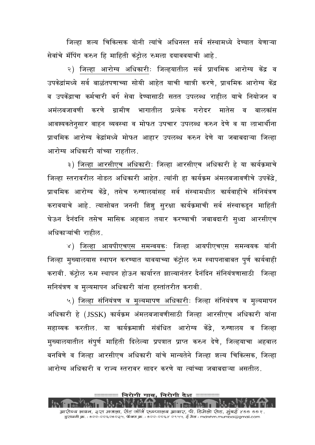जिल्हा शल्य चिकित्सक यांनी त्यांचे अधिनस्त सर्व संस्थामध्ये देण्यात येणाऱ्या सेवांचे मॅपिंग करुन हि माहिती कंट्रोल रुमला दयाववयाची आहे.

२) जिल्हा आरोग्य अधिकारीः जिल्हयातील सर्व प्राथमिक आरोग्य केंद्र व उपकेद्रांमध्ये सर्व बाळंतपणाच्या सोयी आहेत याची खात्री करणे, प्राथमिक आरोग्य केंद्र व उपकेंद्राचा कर्मचारी वर्ग सेवा देण्यासाठी सतत उपलब्ध राहील याचे नियोजन व अमंलबजावणी करणे ग्रामीण भागातील प्रत्येक गरोदर मातेस व बालकांस आवश्यकतेनसार वाहन व्यवस्था व मोफत उपचार उपलब्ध करुन देणे व या लाभार्थीना प्राथमिक आरोग्य केद्रांमध्ये मोफत आहार उपलब्ध करुन देणे या जबाबदाऱ्या जिल्हा आरोग्य अधिकारी यांच्या राहतील.

३) जिल्हा आरसीएच अधिकारीः जिल्हा आरसीएच अधिकारी हे या कार्यक्रमाचे जिल्हा स्तरावरील नोडल अधिकारी आहेत. त्यांनी हा कार्यक्रम अंमलबजावणीचे उपकेंद्रे. प्राथमिक आरोग्य केंद्रे, तसेच रुग्णालयांसह सर्व संस्थामधील कार्यवाहीचे संनियंत्रण करावयाचे आहे. त्यासोबत जननी शिशू सुरक्षा कार्यक्रमाची सर्व संस्थाकडून माहिती घेऊन देनंदनि तसेच मासिक अहवाल तयार करण्याची जबाबदारी सृध्दा आरसीएच अधिकाऱ्यांची राहील.

४) जिल्हा आयपीएचएस समन्वयकः जिल्हा आयपीएचएस समन्वयक यांनी जिल्हा मुख्यालयास स्थापन करण्यात यावयाच्या कंट्रोल रुम स्थापनाबाबत पूर्ण कार्यवाही करावी. कंट्रोल रुम स्थापन होऊन कार्यारत झाल्यानंतर दैनंदिन संनियंत्रणासाठी जिल्हा सनियंत्रण व मुल्यमापन अधिकारी यांना हस्तांतरीत करावी.

५) जिल्हा संनियंत्रण व मूल्यमापण अधिकारीः जिल्हा संनियंत्रण व मूल्यमापन अधिकारी हे (JSSK) कार्यक्रम अंमलबजावणीसाठी जिल्हा आरसीएच अधिकारी यांना सहाय्यक करतील. या कार्यक्रमाशी संबंधित आरोग्य केंद्रे, रुग्णालय व जिल्हा मुख्यालयातील संपूर्ण माहिती दिलेल्या प्रपत्रात प्राप्त करुन देणे, जिल्हयाचा अहवाल बनविणे व जिल्हा आरसीएच अधिकारी यांचे मान्यतेने जिल्हा शल्य चिकित्सक, जिल्हा आरोग्य अधिकारी व राज्य स्तरावर सादर करणे या त्यांच्या जबाबदाऱ्या असतील.

आरोग्य भवन, ३रा मजला, सेंट जॉर्ज रुञ्णालय आवार, पी. डिमेलो रोड, मुंबई ४०० ००१. द्रुएध्वनी क्र. : ०२२-२२६२०२३५, फॅक्स क्र. : ०२२-२२६४ २९५५, ई मेत्र : mdnrhm.mumbai@gmail.com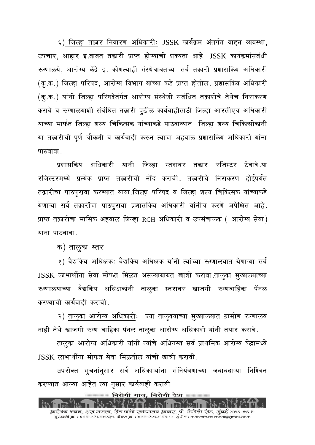६) जिल्हा तक्रार निवारण अधिकारीः JSSK कार्यक्रम अंतर्गत वाहन व्यवस्था, उपचार, आहार इ.बाबत तक्रारी प्राप्त होण्याची शक्यता आहे. JSSK कार्यक्रमांसंबंधी रुग्णालये. आरोग्य केंद्रे इ. कोणत्याही संस्थेबाबतच्या सर्व तक्रारी प्रशासकिय अधिकारी (कृ.क.) जिल्हा परिषद, आरोग्य विभाग यांच्या कडे प्राप्त होतील. प्रशासकिय अधिकारी (कू.क.) यांनी जिल्हा परिषदेतंर्गत आरोग्य संस्थेशी संबंधित तक्रारीचे तेथेच निराकरण करावे व रुग्णालयाशी संबंधित तक्रारी पूढील कार्यवाहीसाठी जिल्हा आरसीएच अधिकारी यांच्या मार्फत जिल्हा शल्य चिकित्सक यांच्याकडे पाठवाव्यात. जिल्हा शल्य चिकित्सीकांनी या तक्रारीची पूर्ण चौकशी व कार्यवाही करुन त्याचा अहवाल प्रशासकिय अधिकारी यांना पाठवावा .

प्रशासकिय अधिकारी यांनी जिल्हा स्तरावर तक्रार रजिस्टर ठेवावे.या रजिस्टरमध्ये प्रत्येक प्राप्त तक्रारीची नोंद करावी. तक्रारीचे निराकरण होईपर्यत तक्रारीचा पाठपूरावा करण्यात यावा जिल्हा परिषद व जिल्हा शल्य चिकित्सक यांच्याकडे येणाऱ्या सर्व तक्रारींचा पाठपूरावा प्रशासकिय अधिकारी यांनीच करणे अपेक्षित आहे. प्राप्त तक्रारीचा मासिक अहवाल जिल्हा RCH अधिकारी व उपसंचालक ( आरोग्य सेवा) याना पाठवावा

क) तालृका स्तर

१) वैद्यकिय अधिक्षकः वैद्यकिय अधिक्षक यांनी त्यांच्या रुग्णालयात येणाऱ्या सर्व JSSK लाभार्थीना सेवा मोफत मिळत असल्याबाबत खात्री करावा तालूका मूख्यलयाच्या रुग्णालयाच्या वैद्यकिय अधिक्षकांनी तालुका स्तरावर खाजगी रुग्णवाहिका पॅनल करण्याची कार्यवाही करावी.

२) तालुका आरोग्य अधिकारीः ज्या तालुक्याच्या मुख्यालयात ग्रामीण रुग्णालय नाही तेथे खाजगी रुग्ण वाहिका पॅनल तालुका आरोग्य अधिकारी यांनी तयार करावे.

तालूका आरोग्य अधिकारी यांनी त्यांचे अधिनस्त सर्व प्राथमिक आरोग्य केंद्रामध्ये <u> ISSK लाभार्थीना मोफत सेवा मिळतील यांची खात्री करावी.</u>

उपरोक्त सूचनांनूसार सर्व अधिकाऱ्यांना संनियंत्रणाच्या जबाबदाऱ्या निश्चित करण्यात आल्या आहेत त्या नूसार कार्यवाही करावी.

आरो॰य भवन, ३रा मजला, सेंट जॉर्ज रु॰णालय आवार, पी. डिमेलो रोड, मुंबई ४०० ००१. द्बुएध्वनी क्र. : ०२२-२२६२०२३५, फॅक्स क्र. : ०२२-२२६४ २९५५, ई मेत्र : mdnrhm.mumbai@gmail.com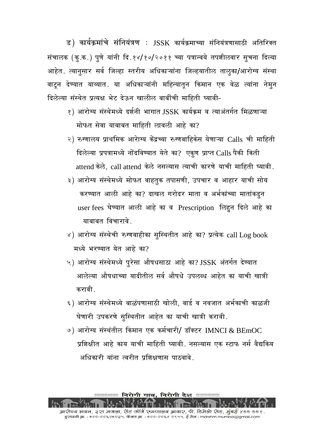ड) कार्यक्रमांचे संनियंत्रण : JSSK कार्यक्रमाच्या संनियंत्रणासाठी अतिरिक्त संचालक (कृ.क.) पुणे यांनी दि.१४/१०/२०११ च्या पत्रान्वये तपशीलवार सूचना दिल्या आहेत. त्यानूसार सर्व जिल्हा स्तरीय अधिकाऱ्यांना जिल्हयातील तालूका/आरोग्य संस्था वाटून देण्यात याव्यात. या अधिकाऱ्यांनी महिन्यातून किमान एक वेळ त्यांना नेमून दिलेल्या संस्थेत प्रत्यक्ष भेट देऊन खालील बाबींची माहिती घ्यावी-

- १) आरोग्य संस्थेमध्ये दर्शनी भागात JSSK कार्यक्रम व त्याअंतर्गत मिळणाऱ्या मोफत सेवा याबाबत माहिती लावली आहे का?
- २) रुग्णालय प्राथमिक आरेाग्य केंद्रच्या रुग्णवाहिकेस येणाऱ्या Calls ची माहिती दिलेल्या प्रपत्रामध्ये नोंदविण्यात येते का? एकूण प्राप्त Calls पैकी किती attend केले, call attend केले नसल्यास त्याची कारणे याची माहिती घ्यावी.
- ३) आरोग्य संस्थेमध्ये मोफत वाहतूक तपासणी, उपचार व आहार याची सोय करण्यात आली आहे का? दाखल गरोदर माता व अर्भकांच्या मातांकड़न user fees घेण्यात आली आहे का व Prescription लिहून दिले आहे का याबाबत विचारावे
- ४) आरोग्य संस्थेची रुग्णवाहीका सूस्थितीत आहे का? प्रत्येक call Log book मध्ये भरण्यात येत आहे का?
- ५) आरोग्य संस्थेमध्ये पूरेसा औषधसाठा आहे का? JSSK अंतर्गत देण्यात आलेल्या औषधाच्या यादीतील सर्व औषधे उपलब्ध आहेत का याची खात्री करावी
- ६) आरोग्य संस्थेमध्ये बाळंपणासाठी खोली, वार्ड व नवजात अर्भकाची काळजी घेणारी उपकरणे सुस्थितीत आहेत का याची खात्री करावी.
- ७) आरोग्य संस्थंतील किमान एक कर्मचारी/ डॉक्टर IMNCI & BEmOC प्रशिक्षीत आहे काय याची माहिती घ्यावी. नसल्यास एक स्टाफ नर्स वैद्यकिय अधिकारी यांना त्वरीत प्रशिक्षणास पाठवावे

──── निरोगी गाव, निरोगी देश ────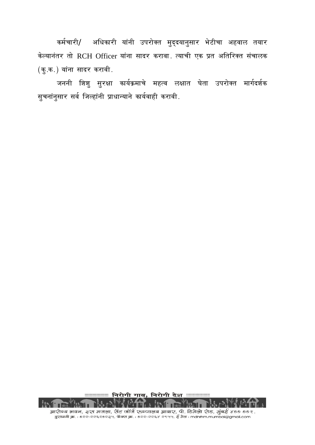कर्मचारी/ अधिकारी यांनी उपरोक्त मुद्दयानुसार भेटीचा अहवाल तयार केल्यानंतर तो RCH Officer यांना सादर करावा. त्याची एक प्रत अतिरिक्त संचालक (कू.क.) यांना सादर करावी.

जननी शिशु सुरक्षा कार्यक्रमाचे महत्व लक्षात घेता उपरोक्त मार्गदर्शक सुचनांनुसार सर्व जिल्हांनी प्राधान्याने कार्यवाही करावी.

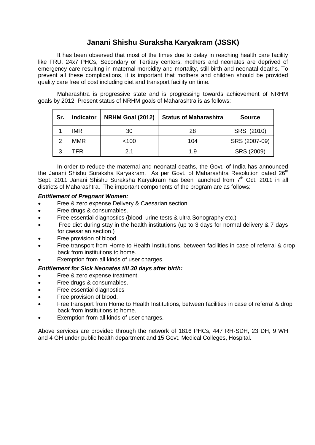# **Janani Shishu Suraksha Karyakram (JSSK)**

It has been observed that most of the times due to delay in reaching health care facility like FRU, 24x7 PHCs, Secondary or Tertiary centers, mothers and neonates are deprived of emergency care resulting in maternal morbidity and mortality, still birth and neonatal deaths. To prevent all these complications, it is important that mothers and children should be provided quality care free of cost including diet and transport facility on time.

Maharashtra is progressive state and is progressing towards achievement of NRHM goals by 2012. Present status of NRHM goals of Maharashtra is as follows:

| Sr.            | Indicator  | <b>NRHM Goal (2012)</b> | <b>Status of Maharashtra</b> | <b>Source</b> |  |  |
|----------------|------------|-------------------------|------------------------------|---------------|--|--|
|                | <b>IMR</b> | 30                      | 28                           | SRS (2010)    |  |  |
| $\overline{2}$ | <b>MMR</b> | < 100                   | 104                          | SRS (2007-09) |  |  |
| 3              | TFR        | 2.1                     | 1.9                          | SRS (2009)    |  |  |

In order to reduce the maternal and neonatal deaths, the Govt. of India has announced the Janani Shishu Suraksha Karyakram. As per Govt. of Maharashtra Resolution dated  $26<sup>th</sup>$ Sept. 2011 Janani Shishu Suraksha Karyakram has been launched from 7<sup>th</sup> Oct. 2011 in all districts of Maharashtra. The important components of the program are as follows:

#### *Entitlement of Pregnant Women:*

- Free & zero expense Delivery & Caesarian section.
- Free drugs & consumables.
- Free essential diagnostics (blood, urine tests & ultra Sonography etc.)
- Free diet during stay in the health institutions (up to 3 days for normal delivery & 7 days for caesarian section.)
- Free provision of blood.
- Free transport from Home to Health Institutions, between facilities in case of referral & drop back from institutions to home.
- Exemption from all kinds of user charges.

#### *Entitlement for Sick Neonates till 30 days after birth:*

- Free & zero expense treatment.
- Free drugs & consumables.
- Free essential diagnostics
- Free provision of blood.
- Free transport from Home to Health Institutions, between facilities in case of referral & drop back from institutions to home.
- Exemption from all kinds of user charges.

Above services are provided through the network of 1816 PHCs, 447 RH-SDH, 23 DH, 9 WH and 4 GH under public health department and 15 Govt. Medical Colleges, Hospital.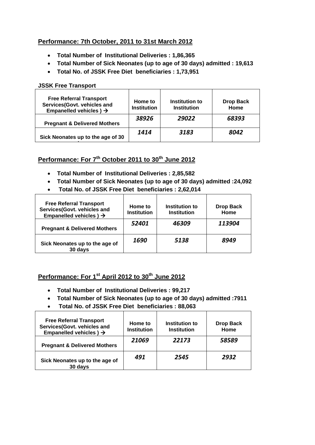## **Performance: 7th October, 2011 to 31st March 2012**

- **Total Number of Institutional Deliveries : 1,86,365**
- **Total Number of Sick Neonates (up to age of 30 days) admitted : 19,613**
- **Total No. of JSSK Free Diet beneficiaries : 1,73,951**

#### **JSSK Free Transport**

| <b>Free Referral Transport</b><br>Services(Govt. vehicles and<br>Empanelled vehicles $) \rightarrow$ | Home to<br><b>Institution</b> | Institution to<br><b>Institution</b> | <b>Drop Back</b><br>Home |  |
|------------------------------------------------------------------------------------------------------|-------------------------------|--------------------------------------|--------------------------|--|
| <b>Pregnant &amp; Delivered Mothers</b>                                                              | 38926                         | 29022                                | 68393                    |  |
| Sick Neonates up to the age of 30                                                                    | 1414                          | 3183                                 | 8042                     |  |

## **Performance: For 7th October 2011 to 30th June 2012**

- **Total Number of Institutional Deliveries : 2,85,582**
- **Total Number of Sick Neonates (up to age of 30 days) admitted :24,092**
- **Total No. of JSSK Free Diet beneficiaries : 2,62,014**

| <b>Free Referral Transport</b><br>Services(Govt. vehicles and<br>Empanelled vehicles $) \rightarrow$ | Home to<br><b>Institution</b> | Institution to<br><b>Institution</b> | <b>Drop Back</b><br>Home |
|------------------------------------------------------------------------------------------------------|-------------------------------|--------------------------------------|--------------------------|
| <b>Pregnant &amp; Delivered Mothers</b>                                                              | 52401                         | 46309                                | 113904                   |
| Sick Neonates up to the age of<br>30 days                                                            | 1690                          | 5138                                 | 8949                     |

# **Performance: For 1st April 2012 to 30th June 2012**

- **Total Number of Institutional Deliveries : 99,217**
- **Total Number of Sick Neonates (up to age of 30 days) admitted :7911**
- **Total No. of JSSK Free Diet beneficiaries : 88,063**

| <b>Free Referral Transport</b><br>Services(Govt. vehicles and<br>Empanelled vehicles $) \rightarrow$ | Home to<br><b>Institution</b> | Institution to<br><b>Institution</b> | <b>Drop Back</b><br>Home |
|------------------------------------------------------------------------------------------------------|-------------------------------|--------------------------------------|--------------------------|
| <b>Pregnant &amp; Delivered Mothers</b>                                                              | 21069                         | 22173                                | 58589                    |
| Sick Neonates up to the age of<br>30 days                                                            | 491                           | 2545                                 | 2932                     |